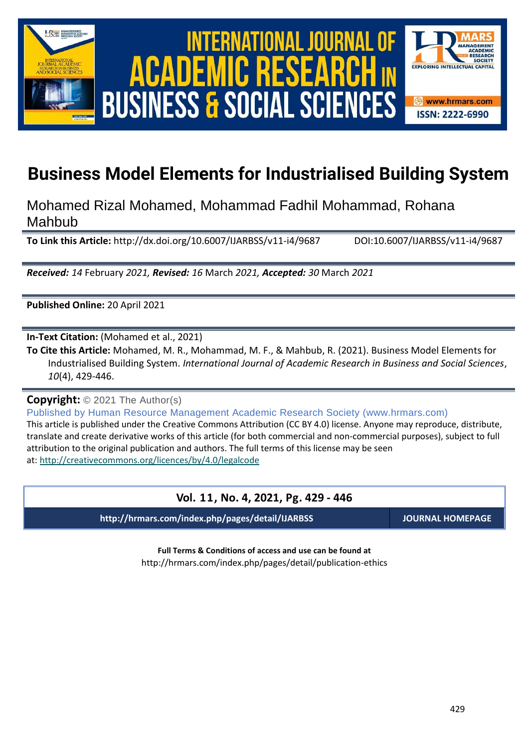

International Journal of Academic Research in Business and Social Sciences **Vol. 1 1 , No. 4, 2021, E-ISSN: 2222-6990 © 2021 HRMARS ACADEMIC BUSINESS & SOCIAL SCIENCES** 



# **Business Model Elements for Industrialised Building System**

Mohamed Rizal Mohamed, Mohammad Fadhil Mohammad, Rohana Mahbub

**To Link this Article:** http://dx.doi.org/10.6007/IJARBSS/v11-i4/9687 DOI:10.6007/IJARBSS/v11-i4/9687

*Received: 14* February *2021, Revised: 16* March *2021, Accepted: 30* March *2021*

**Published Online:** 20 April 2021

**In-Text Citation:** (Mohamed et al., 2021)

**To Cite this Article:** Mohamed, M. R., Mohammad, M. F., & Mahbub, R. (2021). Business Model Elements for Industrialised Building System. *International Journal of Academic Research in Business and Social Sciences*, *10*(4), 429-446.

**Copyright:** © 2021 The Author(s)

Published by Human Resource Management Academic Research Society (www.hrmars.com)

This article is published under the Creative Commons Attribution (CC BY 4.0) license. Anyone may reproduce, distribute, translate and create derivative works of this article (for both commercial and non-commercial purposes), subject to full attribution to the original publication and authors. The full terms of this license may be seen at: <http://creativecommons.org/licences/by/4.0/legalcode>

# **Vol. 11, No. 4, 2021, Pg. 429 - 446**

**http://hrmars.com/index.php/pages/detail/IJARBSS JOURNAL HOMEPAGE**

**Full Terms & Conditions of access and use can be found at** http://hrmars.com/index.php/pages/detail/publication-ethics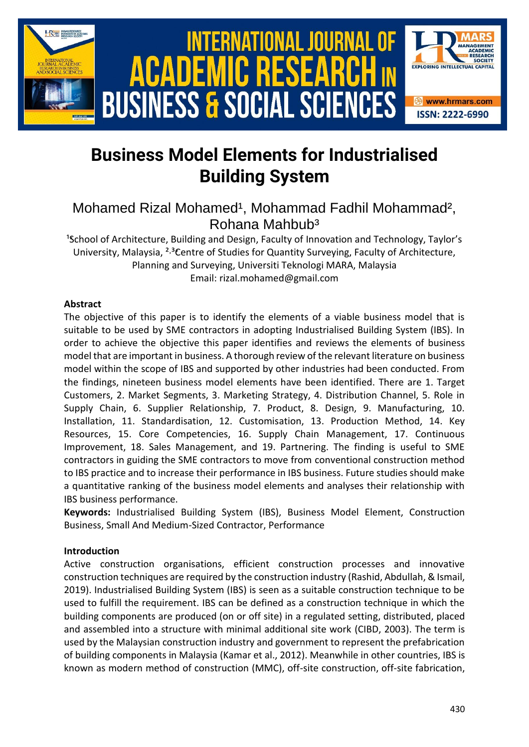

# **Business Model Elements for Industrialised Building System**

# Mohamed Rizal Mohamed<sup>1</sup>, Mohammad Fadhil Mohammad<sup>2</sup>, Rohana Mahbub³

<sup>1</sup>School of Architecture, Building and Design, Faculty of Innovation and Technology, Taylor's University, Malaysia, <sup>2,3</sup>Centre of Studies for Quantity Surveying, Faculty of Architecture, Planning and Surveying, Universiti Teknologi MARA, Malaysia Email: rizal.mohamed@gmail.com

# **Abstract**

The objective of this paper is to identify the elements of a viable business model that is suitable to be used by SME contractors in adopting Industrialised Building System (IBS). In order to achieve the objective this paper identifies and reviews the elements of business model that are important in business. A thorough review of the relevant literature on business model within the scope of IBS and supported by other industries had been conducted. From the findings, nineteen business model elements have been identified. There are 1. Target Customers, 2. Market Segments, 3. Marketing Strategy, 4. Distribution Channel, 5. Role in Supply Chain, 6. Supplier Relationship, 7. Product, 8. Design, 9. Manufacturing, 10. Installation, 11. Standardisation, 12. Customisation, 13. Production Method, 14. Key Resources, 15. Core Competencies, 16. Supply Chain Management, 17. Continuous Improvement, 18. Sales Management, and 19. Partnering. The finding is useful to SME contractors in guiding the SME contractors to move from conventional construction method to IBS practice and to increase their performance in IBS business. Future studies should make a quantitative ranking of the business model elements and analyses their relationship with IBS business performance.

**Keywords:** Industrialised Building System (IBS), Business Model Element, Construction Business, Small And Medium-Sized Contractor, Performance

# **Introduction**

Active construction organisations, efficient construction processes and innovative construction techniques are required by the construction industry (Rashid, Abdullah, & Ismail, 2019). Industrialised Building System (IBS) is seen as a suitable construction technique to be used to fulfill the requirement. IBS can be defined as a construction technique in which the building components are produced (on or off site) in a regulated setting, distributed, placed and assembled into a structure with minimal additional site work (CIBD, 2003). The term is used by the Malaysian construction industry and government to represent the prefabrication of building components in Malaysia (Kamar et al., 2012). Meanwhile in other countries, IBS is known as modern method of construction (MMC), off-site construction, off-site fabrication,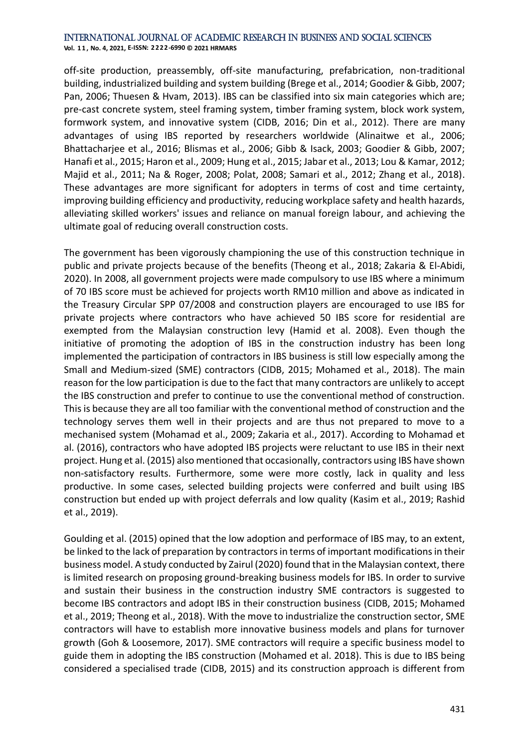**Vol. 1 1 , No. 4, 2021, E-ISSN: 2222-6990 © 2021 HRMARS**

off-site production, preassembly, off-site manufacturing, prefabrication, non-traditional building, industrialized building and system building (Brege et al., 2014; Goodier & Gibb, 2007; Pan, 2006; Thuesen & Hvam, 2013). IBS can be classified into six main categories which are; pre-cast concrete system, steel framing system, timber framing system, block work system, formwork system, and innovative system (CIDB, 2016; Din et al., 2012). There are many advantages of using IBS reported by researchers worldwide (Alinaitwe et al., 2006; Bhattacharjee et al., 2016; Blismas et al., 2006; Gibb & Isack, 2003; Goodier & Gibb, 2007; Hanafi et al., 2015; Haron et al., 2009; Hung et al., 2015; Jabar et al., 2013; Lou & Kamar, 2012; Majid et al., 2011; Na & Roger, 2008; Polat, 2008; Samari et al., 2012; Zhang et al., 2018). These advantages are more significant for adopters in terms of cost and time certainty, improving building efficiency and productivity, reducing workplace safety and health hazards, alleviating skilled workers' issues and reliance on manual foreign labour, and achieving the ultimate goal of reducing overall construction costs.

The government has been vigorously championing the use of this construction technique in public and private projects because of the benefits (Theong et al., 2018; Zakaria & El-Abidi, 2020). In 2008, all government projects were made compulsory to use IBS where a minimum of 70 IBS score must be achieved for projects worth RM10 million and above as indicated in the Treasury Circular SPP 07/2008 and construction players are encouraged to use IBS for private projects where contractors who have achieved 50 IBS score for residential are exempted from the Malaysian construction levy (Hamid et al. 2008). Even though the initiative of promoting the adoption of IBS in the construction industry has been long implemented the participation of contractors in IBS business is still low especially among the Small and Medium-sized (SME) contractors (CIDB, 2015; Mohamed et al., 2018). The main reason for the low participation is due to the fact that many contractors are unlikely to accept the IBS construction and prefer to continue to use the conventional method of construction. This is because they are all too familiar with the conventional method of construction and the technology serves them well in their projects and are thus not prepared to move to a mechanised system (Mohamad et al., 2009; Zakaria et al., 2017). According to Mohamad et al. (2016), contractors who have adopted IBS projects were reluctant to use IBS in their next project. Hung et al. (2015) also mentioned that occasionally, contractors using IBS have shown non-satisfactory results. Furthermore, some were more costly, lack in quality and less productive. In some cases, selected building projects were conferred and built using IBS construction but ended up with project deferrals and low quality (Kasim et al., 2019; Rashid et al., 2019).

Goulding et al. (2015) opined that the low adoption and performace of IBS may, to an extent, be linked to the lack of preparation by contractors in terms of important modifications in their business model. A study conducted by Zairul (2020) found that in the Malaysian context, there is limited research on proposing ground-breaking business models for IBS. In order to survive and sustain their business in the construction industry SME contractors is suggested to become IBS contractors and adopt IBS in their construction business (CIDB, 2015; Mohamed et al., 2019; Theong et al., 2018). With the move to industrialize the construction sector, SME contractors will have to establish more innovative business models and plans for turnover growth (Goh & Loosemore, 2017). SME contractors will require a specific business model to guide them in adopting the IBS construction (Mohamed et al. 2018). This is due to IBS being considered a specialised trade (CIDB, 2015) and its construction approach is different from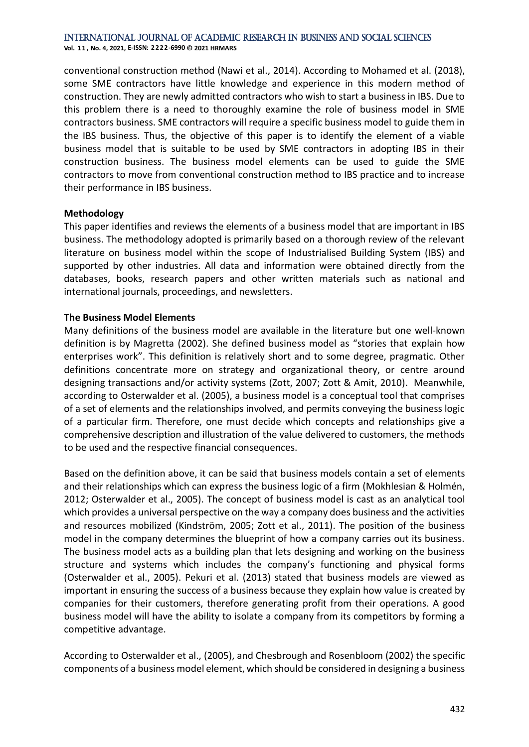**Vol. 1 1 , No. 4, 2021, E-ISSN: 2222-6990 © 2021 HRMARS**

conventional construction method (Nawi et al., 2014). According to Mohamed et al. (2018), some SME contractors have little knowledge and experience in this modern method of construction. They are newly admitted contractors who wish to start a business in IBS. Due to this problem there is a need to thoroughly examine the role of business model in SME contractors business. SME contractors will require a specific business model to guide them in the IBS business. Thus, the objective of this paper is to identify the element of a viable business model that is suitable to be used by SME contractors in adopting IBS in their construction business. The business model elements can be used to guide the SME contractors to move from conventional construction method to IBS practice and to increase their performance in IBS business.

#### **Methodology**

This paper identifies and reviews the elements of a business model that are important in IBS business. The methodology adopted is primarily based on a thorough review of the relevant literature on business model within the scope of Industrialised Building System (IBS) and supported by other industries. All data and information were obtained directly from the databases, books, research papers and other written materials such as national and international journals, proceedings, and newsletters.

# **The Business Model Elements**

Many definitions of the business model are available in the literature but one well-known definition is by Magretta (2002). She defined business model as "stories that explain how enterprises work". This definition is relatively short and to some degree, pragmatic. Other definitions concentrate more on strategy and organizational theory, or centre around designing transactions and/or activity systems (Zott, 2007; Zott & Amit, 2010). Meanwhile, according to Osterwalder et al. (2005), a business model is a conceptual tool that comprises of a set of elements and the relationships involved, and permits conveying the business logic of a particular firm. Therefore, one must decide which concepts and relationships give a comprehensive description and illustration of the value delivered to customers, the methods to be used and the respective financial consequences.

Based on the definition above, it can be said that business models contain a set of elements and their relationships which can express the business logic of a firm (Mokhlesian & Holmén, 2012; Osterwalder et al., 2005). The concept of business model is cast as an analytical tool which provides a universal perspective on the way a company does business and the activities and resources mobilized (Kindström, 2005; Zott et al., 2011). The position of the business model in the company determines the blueprint of how a company carries out its business. The business model acts as a building plan that lets designing and working on the business structure and systems which includes the company's functioning and physical forms (Osterwalder et al., 2005). Pekuri et al. (2013) stated that business models are viewed as important in ensuring the success of a business because they explain how value is created by companies for their customers, therefore generating profit from their operations. A good business model will have the ability to isolate a company from its competitors by forming a competitive advantage.

According to Osterwalder et al., (2005), and Chesbrough and Rosenbloom (2002) the specific components of a business model element, which should be considered in designing a business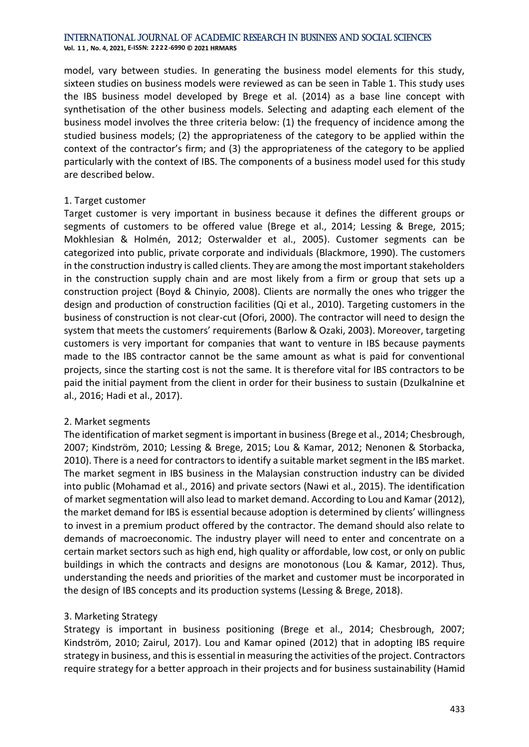**Vol. 1 1 , No. 4, 2021, E-ISSN: 2222-6990 © 2021 HRMARS**

model, vary between studies. In generating the business model elements for this study, sixteen studies on business models were reviewed as can be seen in Table 1. This study uses the IBS business model developed by Brege et al. (2014) as a base line concept with synthetisation of the other business models. Selecting and adapting each element of the business model involves the three criteria below: (1) the frequency of incidence among the studied business models; (2) the appropriateness of the category to be applied within the context of the contractor's firm; and (3) the appropriateness of the category to be applied particularly with the context of IBS. The components of a business model used for this study are described below.

# 1. Target customer

Target customer is very important in business because it defines the different groups or segments of customers to be offered value (Brege et al., 2014; Lessing & Brege, 2015; Mokhlesian & Holmén, 2012; Osterwalder et al., 2005). Customer segments can be categorized into public, private corporate and individuals (Blackmore, 1990). The customers in the construction industry is called clients. They are among the most important stakeholders in the construction supply chain and are most likely from a firm or group that sets up a construction project (Boyd & Chinyio, 2008). Clients are normally the ones who trigger the design and production of construction facilities (Qi et al., 2010). Targeting customers in the business of construction is not clear-cut (Ofori, 2000). The contractor will need to design the system that meets the customers' requirements (Barlow & Ozaki, 2003). Moreover, targeting customers is very important for companies that want to venture in IBS because payments made to the IBS contractor cannot be the same amount as what is paid for conventional projects, since the starting cost is not the same. It is therefore vital for IBS contractors to be paid the initial payment from the client in order for their business to sustain (Dzulkalnine et al., 2016; Hadi et al., 2017).

# 2. Market segments

The identification of market segment is important in business (Brege et al., 2014; Chesbrough, 2007; Kindström, 2010; Lessing & Brege, 2015; Lou & Kamar, 2012; Nenonen & Storbacka, 2010). There is a need for contractors to identify a suitable market segment in the IBS market. The market segment in IBS business in the Malaysian construction industry can be divided into public (Mohamad et al., 2016) and private sectors (Nawi et al., 2015). The identification of market segmentation will also lead to market demand. According to Lou and Kamar (2012), the market demand for IBS is essential because adoption is determined by clients' willingness to invest in a premium product offered by the contractor. The demand should also relate to demands of macroeconomic. The industry player will need to enter and concentrate on a certain market sectors such as high end, high quality or affordable, low cost, or only on public buildings in which the contracts and designs are monotonous (Lou & Kamar, 2012). Thus, understanding the needs and priorities of the market and customer must be incorporated in the design of IBS concepts and its production systems (Lessing & Brege, 2018).

# 3. Marketing Strategy

Strategy is important in business positioning (Brege et al., 2014; Chesbrough, 2007; Kindström, 2010; Zairul, 2017). Lou and Kamar opined (2012) that in adopting IBS require strategy in business, and this is essential in measuring the activities of the project. Contractors require strategy for a better approach in their projects and for business sustainability (Hamid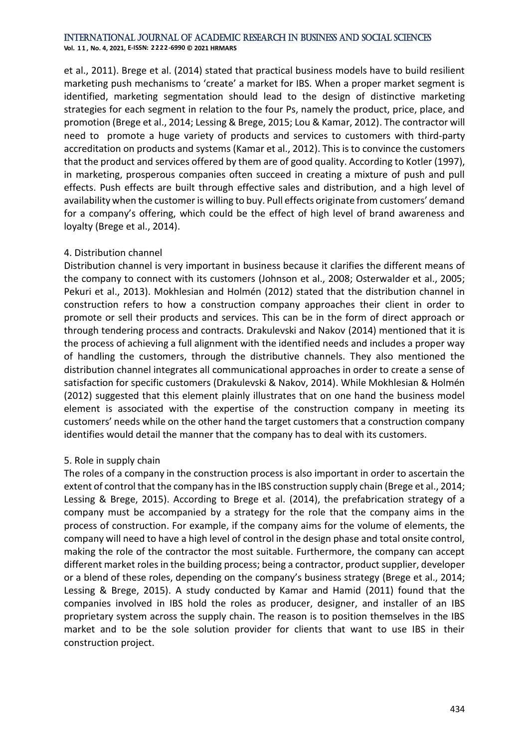**Vol. 1 1 , No. 4, 2021, E-ISSN: 2222-6990 © 2021 HRMARS**

et al., 2011). Brege et al. (2014) stated that practical business models have to build resilient marketing push mechanisms to 'create' a market for IBS. When a proper market segment is identified, marketing segmentation should lead to the design of distinctive marketing strategies for each segment in relation to the four Ps, namely the product, price, place, and promotion (Brege et al., 2014; Lessing & Brege, 2015; Lou & Kamar, 2012). The contractor will need to promote a huge variety of products and services to customers with third-party accreditation on products and systems (Kamar et al., 2012). This is to convince the customers that the product and services offered by them are of good quality. According to Kotler (1997), in marketing, prosperous companies often succeed in creating a mixture of push and pull effects. Push effects are built through effective sales and distribution, and a high level of availability when the customer is willing to buy. Pull effects originate from customers' demand for a company's offering, which could be the effect of high level of brand awareness and loyalty (Brege et al., 2014).

# 4. Distribution channel

Distribution channel is very important in business because it clarifies the different means of the company to connect with its customers (Johnson et al., 2008; Osterwalder et al., 2005; Pekuri et al., 2013). Mokhlesian and Holmén (2012) stated that the distribution channel in construction refers to how a construction company approaches their client in order to promote or sell their products and services. This can be in the form of direct approach or through tendering process and contracts. Drakulevski and Nakov (2014) mentioned that it is the process of achieving a full alignment with the identified needs and includes a proper way of handling the customers, through the distributive channels. They also mentioned the distribution channel integrates all communicational approaches in order to create a sense of satisfaction for specific customers (Drakulevski & Nakov, 2014). While Mokhlesian & Holmén (2012) suggested that this element plainly illustrates that on one hand the business model element is associated with the expertise of the construction company in meeting its customers' needs while on the other hand the target customers that a construction company identifies would detail the manner that the company has to deal with its customers.

# 5. Role in supply chain

The roles of a company in the construction process is also important in order to ascertain the extent of control that the company has in the IBS construction supply chain (Brege et al., 2014; Lessing & Brege, 2015). According to Brege et al. (2014), the prefabrication strategy of a company must be accompanied by a strategy for the role that the company aims in the process of construction. For example, if the company aims for the volume of elements, the company will need to have a high level of control in the design phase and total onsite control, making the role of the contractor the most suitable. Furthermore, the company can accept different market roles in the building process; being a contractor, product supplier, developer or a blend of these roles, depending on the company's business strategy (Brege et al., 2014; Lessing & Brege, 2015). A study conducted by Kamar and Hamid (2011) found that the companies involved in IBS hold the roles as producer, designer, and installer of an IBS proprietary system across the supply chain. The reason is to position themselves in the IBS market and to be the sole solution provider for clients that want to use IBS in their construction project.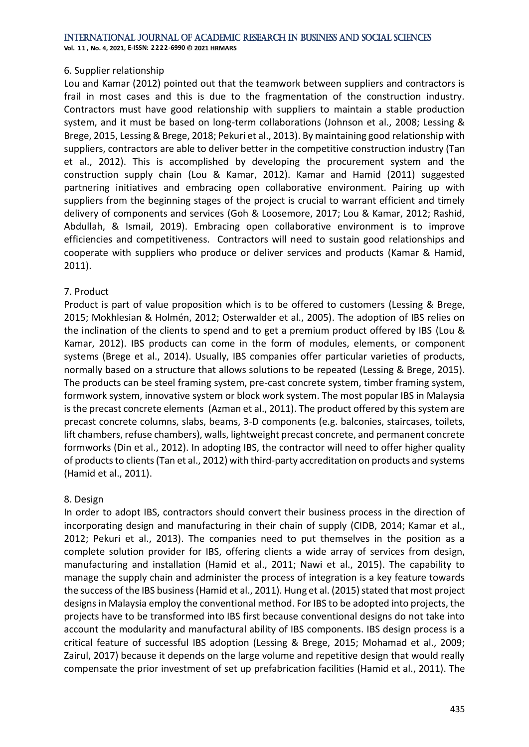**Vol. 1 1 , No. 4, 2021, E-ISSN: 2222-6990 © 2021 HRMARS**

#### 6. Supplier relationship

Lou and Kamar (2012) pointed out that the teamwork between suppliers and contractors is frail in most cases and this is due to the fragmentation of the construction industry. Contractors must have good relationship with suppliers to maintain a stable production system, and it must be based on long-term collaborations (Johnson et al., 2008; Lessing & Brege, 2015, Lessing & Brege, 2018; Pekuri et al., 2013). By maintaining good relationship with suppliers, contractors are able to deliver better in the competitive construction industry (Tan et al., 2012). This is accomplished by developing the procurement system and the construction supply chain (Lou & Kamar, 2012). Kamar and Hamid (2011) suggested partnering initiatives and embracing open collaborative environment. Pairing up with suppliers from the beginning stages of the project is crucial to warrant efficient and timely delivery of components and services (Goh & Loosemore, 2017; Lou & Kamar, 2012; Rashid, Abdullah, & Ismail, 2019). Embracing open collaborative environment is to improve efficiencies and competitiveness. Contractors will need to sustain good relationships and cooperate with suppliers who produce or deliver services and products (Kamar & Hamid, 2011).

# 7. Product

Product is part of value proposition which is to be offered to customers (Lessing & Brege, 2015; Mokhlesian & Holmén, 2012; Osterwalder et al., 2005). The adoption of IBS relies on the inclination of the clients to spend and to get a premium product offered by IBS (Lou & Kamar, 2012). IBS products can come in the form of modules, elements, or component systems (Brege et al., 2014). Usually, IBS companies offer particular varieties of products, normally based on a structure that allows solutions to be repeated (Lessing & Brege, 2015). The products can be steel framing system, pre-cast concrete system, timber framing system, formwork system, innovative system or block work system. The most popular IBS in Malaysia is the precast concrete elements (Azman et al., 2011). The product offered by this system are precast concrete columns, slabs, beams, 3-D components (e.g. balconies, staircases, toilets, lift chambers, refuse chambers), walls, lightweight precast concrete, and permanent concrete formworks (Din et al., 2012). In adopting IBS, the contractor will need to offer higher quality of products to clients (Tan et al., 2012) with third-party accreditation on products and systems (Hamid et al., 2011).

# 8. Design

In order to adopt IBS, contractors should convert their business process in the direction of incorporating design and manufacturing in their chain of supply (CIDB, 2014; Kamar et al., 2012; Pekuri et al., 2013). The companies need to put themselves in the position as a complete solution provider for IBS, offering clients a wide array of services from design, manufacturing and installation (Hamid et al., 2011; Nawi et al., 2015). The capability to manage the supply chain and administer the process of integration is a key feature towards the success of the IBS business (Hamid et al., 2011). Hung et al. (2015) stated that most project designs in Malaysia employ the conventional method. For IBS to be adopted into projects, the projects have to be transformed into IBS first because conventional designs do not take into account the modularity and manufactural ability of IBS components. IBS design process is a critical feature of successful IBS adoption (Lessing & Brege, 2015; Mohamad et al., 2009; Zairul, 2017) because it depends on the large volume and repetitive design that would really compensate the prior investment of set up prefabrication facilities (Hamid et al., 2011). The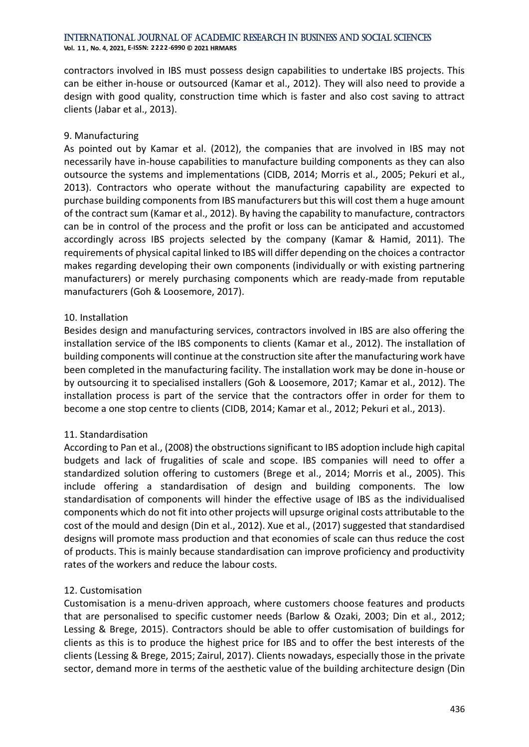**Vol. 1 1 , No. 4, 2021, E-ISSN: 2222-6990 © 2021 HRMARS**

contractors involved in IBS must possess design capabilities to undertake IBS projects. This can be either in-house or outsourced (Kamar et al., 2012). They will also need to provide a design with good quality, construction time which is faster and also cost saving to attract clients (Jabar et al., 2013).

# 9. Manufacturing

As pointed out by Kamar et al. (2012), the companies that are involved in IBS may not necessarily have in-house capabilities to manufacture building components as they can also outsource the systems and implementations (CIDB, 2014; Morris et al., 2005; Pekuri et al., 2013). Contractors who operate without the manufacturing capability are expected to purchase building components from IBS manufacturers but this will cost them a huge amount of the contract sum (Kamar et al., 2012). By having the capability to manufacture, contractors can be in control of the process and the profit or loss can be anticipated and accustomed accordingly across IBS projects selected by the company (Kamar & Hamid, 2011). The requirements of physical capital linked to IBS will differ depending on the choices a contractor makes regarding developing their own components (individually or with existing partnering manufacturers) or merely purchasing components which are ready-made from reputable manufacturers (Goh & Loosemore, 2017).

# 10. Installation

Besides design and manufacturing services, contractors involved in IBS are also offering the installation service of the IBS components to clients (Kamar et al., 2012). The installation of building components will continue at the construction site after the manufacturing work have been completed in the manufacturing facility. The installation work may be done in-house or by outsourcing it to specialised installers (Goh & Loosemore, 2017; Kamar et al., 2012). The installation process is part of the service that the contractors offer in order for them to become a one stop centre to clients (CIDB, 2014; Kamar et al., 2012; Pekuri et al., 2013).

# 11. Standardisation

According to Pan et al., (2008) the obstructions significant to IBS adoption include high capital budgets and lack of frugalities of scale and scope. IBS companies will need to offer a standardized solution offering to customers (Brege et al., 2014; Morris et al., 2005). This include offering a standardisation of design and building components. The low standardisation of components will hinder the effective usage of IBS as the individualised components which do not fit into other projects will upsurge original costs attributable to the cost of the mould and design (Din et al., 2012). Xue et al., (2017) suggested that standardised designs will promote mass production and that economies of scale can thus reduce the cost of products. This is mainly because standardisation can improve proficiency and productivity rates of the workers and reduce the labour costs.

# 12. Customisation

Customisation is a menu-driven approach, where customers choose features and products that are personalised to specific customer needs (Barlow & Ozaki, 2003; Din et al., 2012; Lessing & Brege, 2015). Contractors should be able to offer customisation of buildings for clients as this is to produce the highest price for IBS and to offer the best interests of the clients (Lessing & Brege, 2015; Zairul, 2017). Clients nowadays, especially those in the private sector, demand more in terms of the aesthetic value of the building architecture design (Din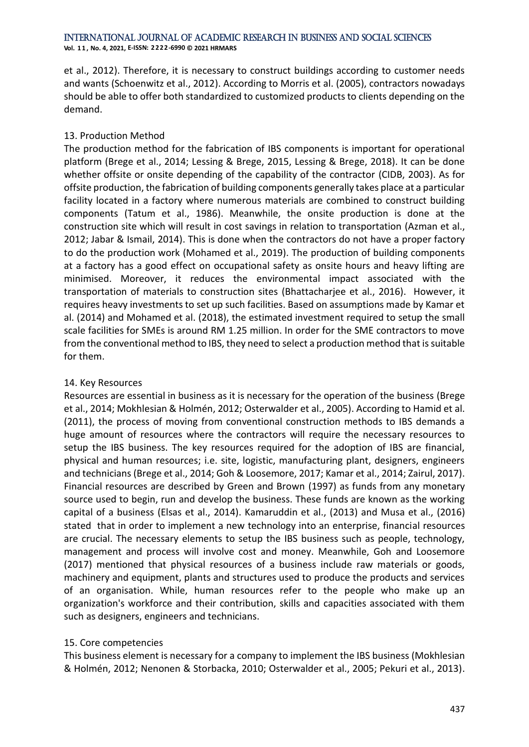**Vol. 1 1 , No. 4, 2021, E-ISSN: 2222-6990 © 2021 HRMARS**

et al., 2012). Therefore, it is necessary to construct buildings according to customer needs and wants (Schoenwitz et al., 2012). According to Morris et al. (2005), contractors nowadays should be able to offer both standardized to customized products to clients depending on the demand.

# 13. Production Method

The production method for the fabrication of IBS components is important for operational platform (Brege et al., 2014; Lessing & Brege, 2015, Lessing & Brege, 2018). It can be done whether offsite or onsite depending of the capability of the contractor (CIDB, 2003). As for offsite production, the fabrication of building components generally takes place at a particular facility located in a factory where numerous materials are combined to construct building components (Tatum et al., 1986). Meanwhile, the onsite production is done at the construction site which will result in cost savings in relation to transportation (Azman et al., 2012; Jabar & Ismail, 2014). This is done when the contractors do not have a proper factory to do the production work (Mohamed et al., 2019). The production of building components at a factory has a good effect on occupational safety as onsite hours and heavy lifting are minimised. Moreover, it reduces the environmental impact associated with the transportation of materials to construction sites (Bhattacharjee et al., 2016). However, it requires heavy investments to set up such facilities. Based on assumptions made by Kamar et al. (2014) and Mohamed et al. (2018), the estimated investment required to setup the small scale facilities for SMEs is around RM 1.25 million. In order for the SME contractors to move from the conventional method to IBS, they need to select a production method that is suitable for them.

# 14. Key Resources

Resources are essential in business as it is necessary for the operation of the business (Brege et al., 2014; Mokhlesian & Holmén, 2012; Osterwalder et al., 2005). According to Hamid et al. (2011), the process of moving from conventional construction methods to IBS demands a huge amount of resources where the contractors will require the necessary resources to setup the IBS business. The key resources required for the adoption of IBS are financial, physical and human resources; i.e. site, logistic, manufacturing plant, designers, engineers and technicians (Brege et al., 2014; Goh & Loosemore, 2017; Kamar et al., 2014; Zairul, 2017). Financial resources are described by Green and Brown (1997) as funds from any monetary source used to begin, run and develop the business. These funds are known as the working capital of a business (Elsas et al., 2014). Kamaruddin et al., (2013) and Musa et al., (2016) stated that in order to implement a new technology into an enterprise, financial resources are crucial. The necessary elements to setup the IBS business such as people, technology, management and process will involve cost and money. Meanwhile, Goh and Loosemore (2017) mentioned that physical resources of a business include raw materials or goods, machinery and equipment, plants and structures used to produce the products and services of an organisation. While, human resources refer to the people who make up an organization's workforce and their contribution, skills and capacities associated with them such as designers, engineers and technicians.

# 15. Core competencies

This business element is necessary for a company to implement the IBS business (Mokhlesian & Holmén, 2012; Nenonen & Storbacka, 2010; Osterwalder et al., 2005; Pekuri et al., 2013).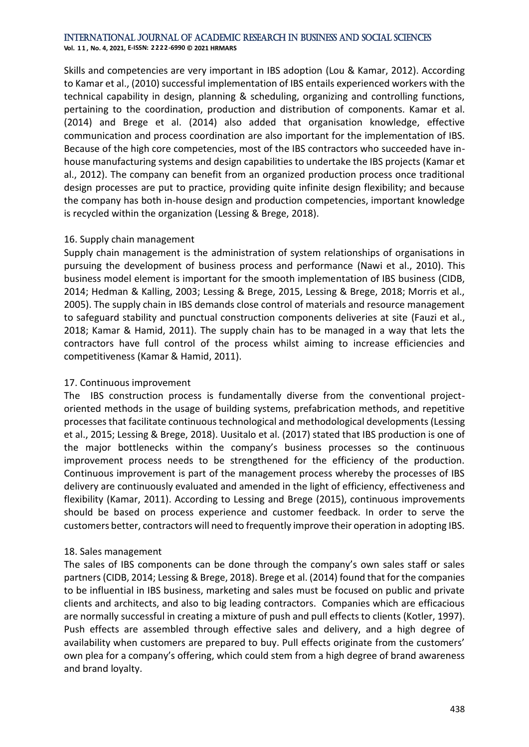**Vol. 1 1 , No. 4, 2021, E-ISSN: 2222-6990 © 2021 HRMARS**

Skills and competencies are very important in IBS adoption (Lou & Kamar, 2012). According to Kamar et al., (2010) successful implementation of IBS entails experienced workers with the technical capability in design, planning & scheduling, organizing and controlling functions, pertaining to the coordination, production and distribution of components. Kamar et al. (2014) and Brege et al. (2014) also added that organisation knowledge, effective communication and process coordination are also important for the implementation of IBS. Because of the high core competencies, most of the IBS contractors who succeeded have inhouse manufacturing systems and design capabilities to undertake the IBS projects (Kamar et al., 2012). The company can benefit from an organized production process once traditional design processes are put to practice, providing quite infinite design flexibility; and because the company has both in-house design and production competencies, important knowledge is recycled within the organization (Lessing & Brege, 2018).

# 16. Supply chain management

Supply chain management is the administration of system relationships of organisations in pursuing the development of business process and performance (Nawi et al., 2010). This business model element is important for the smooth implementation of IBS business (CIDB, 2014; Hedman & Kalling, 2003; Lessing & Brege, 2015, Lessing & Brege, 2018; Morris et al., 2005). The supply chain in IBS demands close control of materials and resource management to safeguard stability and punctual construction components deliveries at site (Fauzi et al., 2018; Kamar & Hamid, 2011). The supply chain has to be managed in a way that lets the contractors have full control of the process whilst aiming to increase efficiencies and competitiveness (Kamar & Hamid, 2011).

# 17. Continuous improvement

The IBS construction process is fundamentally diverse from the conventional projectoriented methods in the usage of building systems, prefabrication methods, and repetitive processes that facilitate continuous technological and methodological developments (Lessing et al., 2015; Lessing & Brege, 2018). Uusitalo et al. (2017) stated that IBS production is one of the major bottlenecks within the company's business processes so the continuous improvement process needs to be strengthened for the efficiency of the production. Continuous improvement is part of the management process whereby the processes of IBS delivery are continuously evaluated and amended in the light of efficiency, effectiveness and flexibility (Kamar, 2011). According to Lessing and Brege (2015), continuous improvements should be based on process experience and customer feedback. In order to serve the customers better, contractors will need to frequently improve their operation in adopting IBS.

# 18. Sales management

The sales of IBS components can be done through the company's own sales staff or sales partners (CIDB, 2014; Lessing & Brege, 2018). Brege et al. (2014) found that for the companies to be influential in IBS business, marketing and sales must be focused on public and private clients and architects, and also to big leading contractors. Companies which are efficacious are normally successful in creating a mixture of push and pull effects to clients (Kotler, 1997). Push effects are assembled through effective sales and delivery, and a high degree of availability when customers are prepared to buy. Pull effects originate from the customers' own plea for a company's offering, which could stem from a high degree of brand awareness and brand loyalty.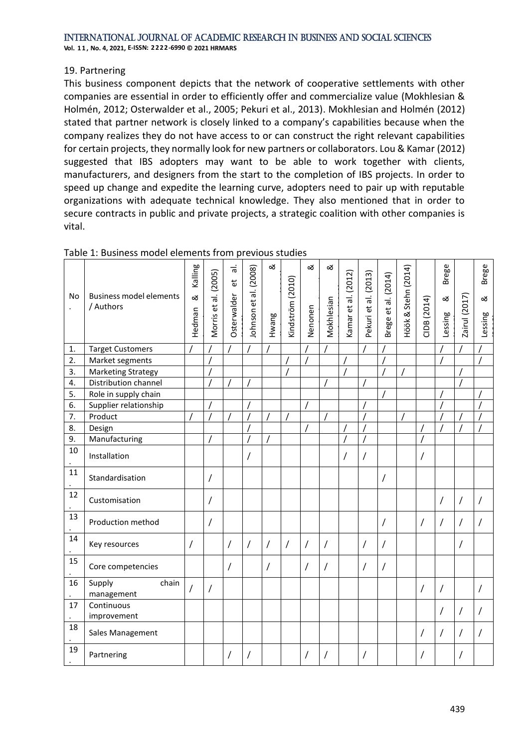#### International Journal of Academic Research in Business and Social Sciences **Vol. 1 1 , No. 4, 2021, E-ISSN: 2222-6990 © 2021 HRMARS**

# 19. Partnering

This business component depicts that the network of cooperative settlements with other companies are essential in order to efficiently offer and commercialize value (Mokhlesian & Holmén, 2012; Osterwalder et al., 2005; Pekuri et al., 2013). Mokhlesian and Holmén (2012) stated that partner network is closely linked to a company's capabilities because when the company realizes they do not have access to or can construct the right relevant capabilities for certain projects, they normally look for new partners or collaborators. Lou & Kamar (2012) suggested that IBS adopters may want to be able to work together with clients, manufacturers, and designers from the start to the completion of IBS projects. In order to speed up change and expedite the learning curve, adopters need to pair up with reputable organizations with adequate technical knowledge. They also mentioned that in order to secure contracts in public and private projects, a strategic coalition with other companies is vital.

| No | <b>Business model elements</b><br>/ Authors | Kalling<br>ಡ<br>Hedman | Morris et al. (2005) | $\frac{1}{6}$<br>$\overline{e}$<br>Osterwalder | Johnson et al. (2008) | ઌ<br>Hwang | Kindström (2010) | ઌ<br>Nenonen | ळ<br>Mokhlesian | Kamar et al. (2012) | Pekuri et al. (2013) | Brege et al. (2014) | Höök & Stehn (2014) | CIDB (2014)    | <b>Brege</b><br>ळ<br>Lessing | Zairul (2017)  | Brege<br>ಹ<br>Lessing |
|----|---------------------------------------------|------------------------|----------------------|------------------------------------------------|-----------------------|------------|------------------|--------------|-----------------|---------------------|----------------------|---------------------|---------------------|----------------|------------------------------|----------------|-----------------------|
| 1. | <b>Target Customers</b>                     |                        |                      |                                                |                       |            |                  |              |                 |                     |                      |                     |                     |                |                              |                |                       |
| 2. | Market segments                             |                        |                      |                                                |                       |            |                  |              |                 |                     |                      |                     |                     |                |                              |                |                       |
| 3. | <b>Marketing Strategy</b>                   |                        |                      |                                                |                       |            |                  |              |                 |                     |                      |                     |                     |                |                              |                |                       |
| 4. | Distribution channel                        |                        |                      |                                                |                       |            |                  |              |                 |                     |                      |                     |                     |                |                              |                |                       |
| 5. | Role in supply chain                        |                        |                      |                                                |                       |            |                  |              |                 |                     |                      |                     |                     |                |                              |                |                       |
| 6. | Supplier relationship                       |                        |                      |                                                |                       |            |                  |              |                 |                     |                      |                     |                     |                |                              |                |                       |
| 7. | Product                                     |                        |                      |                                                |                       |            |                  |              |                 |                     |                      |                     |                     |                |                              |                |                       |
| 8. | Design                                      |                        |                      |                                                |                       |            |                  |              |                 |                     |                      |                     |                     |                |                              |                |                       |
| 9. | Manufacturing                               |                        |                      |                                                |                       |            |                  |              |                 |                     |                      |                     |                     |                |                              |                |                       |
| 10 | Installation                                |                        |                      |                                                |                       |            |                  |              |                 |                     | $\overline{1}$       |                     |                     | Τ              |                              |                |                       |
| 11 | Standardisation                             |                        | $\prime$             |                                                |                       |            |                  |              |                 |                     |                      | /                   |                     |                |                              |                |                       |
| 12 | Customisation                               |                        | $\sqrt{2}$           |                                                |                       |            |                  |              |                 |                     |                      |                     |                     |                | $\overline{1}$               | $\overline{1}$ | /                     |
| 13 | Production method                           |                        | $\sqrt{2}$           |                                                |                       |            |                  |              |                 |                     |                      | 7                   |                     | $\overline{1}$ | $\sqrt{2}$                   | $\overline{1}$ | /                     |
| 14 | Key resources                               | $\prime$               |                      | $\sqrt{2}$                                     | $\prime$              | $\prime$   | $\sqrt{2}$       | $\prime$     | $\prime$        |                     | $\prime$             | 7                   |                     |                |                              | $\prime$       |                       |
| 15 | Core competencies                           |                        |                      | 7                                              |                       | $\prime$   |                  | 7            | $\prime$        |                     | $\prime$             | Ι                   |                     |                |                              |                |                       |
| 16 | Supply<br>chain<br>management               | $\prime$               | 7                    |                                                |                       |            |                  |              |                 |                     |                      |                     |                     | /              | $\prime$                     |                |                       |
| 17 | Continuous<br>improvement                   |                        |                      |                                                |                       |            |                  |              |                 |                     |                      |                     |                     |                | $\prime$                     | $\prime$       |                       |
| 18 | Sales Management                            |                        |                      |                                                |                       |            |                  |              |                 |                     |                      |                     |                     | Ι              | $\prime$                     | 7              |                       |
| 19 | Partnering                                  |                        |                      | $\prime$                                       |                       |            |                  |              | $\prime$        |                     | $\prime$             |                     |                     |                |                              | 7              |                       |

# Table 1: Business model elements from previous studies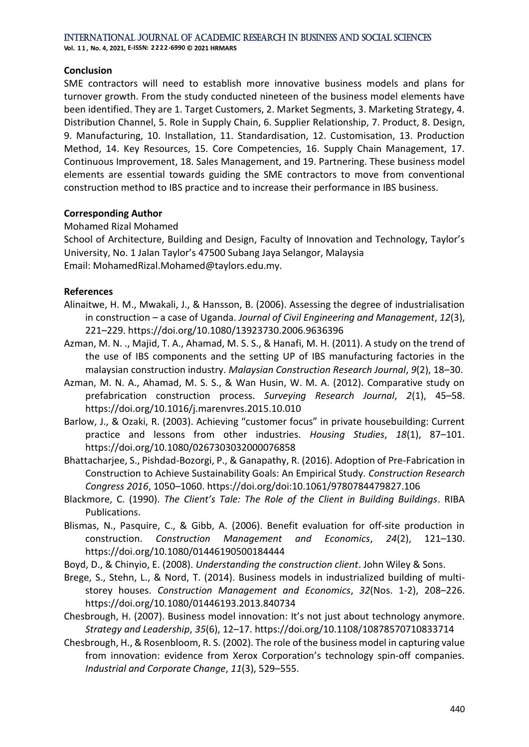International Journal of Academic Research in Business and Social Sciences **Vol. 1 1 , No. 4, 2021, E-ISSN: 2222-6990 © 2021 HRMARS**

#### **Conclusion**

SME contractors will need to establish more innovative business models and plans for turnover growth. From the study conducted nineteen of the business model elements have been identified. They are 1. Target Customers, 2. Market Segments, 3. Marketing Strategy, 4. Distribution Channel, 5. Role in Supply Chain, 6. Supplier Relationship, 7. Product, 8. Design, 9. Manufacturing, 10. Installation, 11. Standardisation, 12. Customisation, 13. Production Method, 14. Key Resources, 15. Core Competencies, 16. Supply Chain Management, 17. Continuous Improvement, 18. Sales Management, and 19. Partnering. These business model elements are essential towards guiding the SME contractors to move from conventional construction method to IBS practice and to increase their performance in IBS business.

#### **Corresponding Author**

#### Mohamed Rizal Mohamed

School of Architecture, Building and Design, Faculty of Innovation and Technology, Taylor's University, No. 1 Jalan Taylor's 47500 Subang Jaya Selangor, Malaysia Email: MohamedRizal.Mohamed@taylors.edu.my.

#### **References**

- Alinaitwe, H. M., Mwakali, J., & Hansson, B. (2006). Assessing the degree of industrialisation in construction – a case of Uganda. *Journal of Civil Engineering and Management*, *12*(3), 221–229. https://doi.org/10.1080/13923730.2006.9636396
- Azman, M. N. ., Majid, T. A., Ahamad, M. S. S., & Hanafi, M. H. (2011). A study on the trend of the use of IBS components and the setting UP of IBS manufacturing factories in the malaysian construction industry. *Malaysian Construction Research Journal*, *9*(2), 18–30.
- Azman, M. N. A., Ahamad, M. S. S., & Wan Husin, W. M. A. (2012). Comparative study on prefabrication construction process. *Surveying Research Journal*, *2*(1), 45–58. https://doi.org/10.1016/j.marenvres.2015.10.010
- Barlow, J., & Ozaki, R. (2003). Achieving "customer focus" in private housebuilding: Current practice and lessons from other industries. *Housing Studies*, *18*(1), 87–101. https://doi.org/10.1080/0267303032000076858
- Bhattacharjee, S., Pishdad-Bozorgi, P., & Ganapathy, R. (2016). Adoption of Pre-Fabrication in Construction to Achieve Sustainability Goals: An Empirical Study. *Construction Research Congress 2016*, 1050–1060. https://doi.org/doi:10.1061/9780784479827.106
- Blackmore, C. (1990). *The Client's Tale: The Role of the Client in Building Buildings*. RIBA Publications.
- Blismas, N., Pasquire, C., & Gibb, A. (2006). Benefit evaluation for off‐site production in construction. *Construction Management and Economics*, *24*(2), 121–130. https://doi.org/10.1080/01446190500184444
- Boyd, D., & Chinyio, E. (2008). *Understanding the construction client*. John Wiley & Sons.
- Brege, S., Stehn, L., & Nord, T. (2014). Business models in industrialized building of multistorey houses. *Construction Management and Economics*, *32*(Nos. 1-2), 208–226. https://doi.org/10.1080/01446193.2013.840734
- Chesbrough, H. (2007). Business model innovation: It's not just about technology anymore. *Strategy and Leadership*, *35*(6), 12–17. https://doi.org/10.1108/10878570710833714
- Chesbrough, H., & Rosenbloom, R. S. (2002). The role of the business model in capturing value from innovation: evidence from Xerox Corporation's technology spin-off companies. *Industrial and Corporate Change*, *11*(3), 529–555.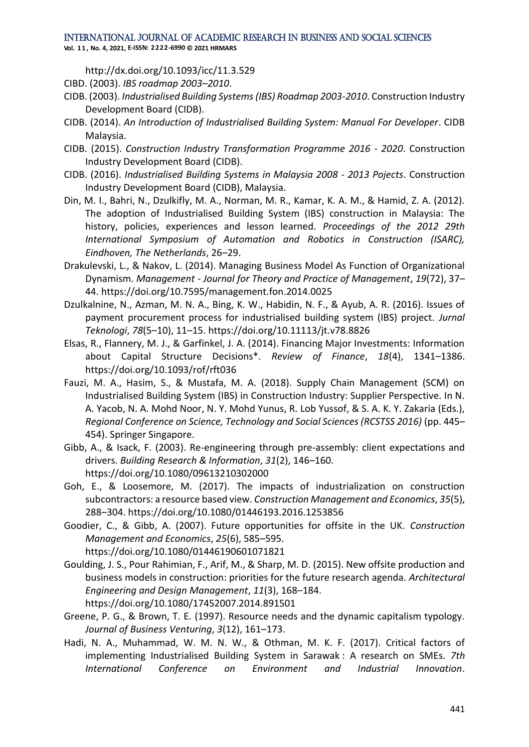**Vol. 1 1 , No. 4, 2021, E-ISSN: 2222-6990 © 2021 HRMARS**

http://dx.doi.org/10.1093/icc/11.3.529

- CIBD. (2003). *IBS roadmap 2003–2010*.
- CIDB. (2003). *Industrialised Building Systems (IBS) Roadmap 2003-2010*. Construction Industry Development Board (CIDB).
- CIDB. (2014). *An Introduction of Industrialised Building System: Manual For Developer*. CIDB Malaysia.
- CIDB. (2015). *Construction Industry Transformation Programme 2016 - 2020*. Construction Industry Development Board (CIDB).
- CIDB. (2016). *Industrialised Building Systems in Malaysia 2008 - 2013 Pojects*. Construction Industry Development Board (CIDB), Malaysia.
- Din, M. I., Bahri, N., Dzulkifly, M. A., Norman, M. R., Kamar, K. A. M., & Hamid, Z. A. (2012). The adoption of Industrialised Building System (IBS) construction in Malaysia: The history, policies, experiences and lesson learned. *Proceedings of the 2012 29th International Symposium of Automation and Robotics in Construction (ISARC), Eindhoven, The Netherlands*, 26–29.
- Drakulevski, L., & Nakov, L. (2014). Managing Business Model As Function of Organizational Dynamism. *Management - Journal for Theory and Practice of Management*, *19*(72), 37– 44. https://doi.org/10.7595/management.fon.2014.0025
- Dzulkalnine, N., Azman, M. N. A., Bing, K. W., Habidin, N. F., & Ayub, A. R. (2016). Issues of payment procurement process for industrialised building system (IBS) project. *Jurnal Teknologi*, *78*(5–10), 11–15. https://doi.org/10.11113/jt.v78.8826
- Elsas, R., Flannery, M. J., & Garfinkel, J. A. (2014). Financing Major Investments: Information about Capital Structure Decisions\*. *Review of Finance*, *18*(4), 1341–1386. https://doi.org/10.1093/rof/rft036
- Fauzi, M. A., Hasim, S., & Mustafa, M. A. (2018). Supply Chain Management (SCM) on Industrialised Building System (IBS) in Construction Industry: Supplier Perspective. In N. A. Yacob, N. A. Mohd Noor, N. Y. Mohd Yunus, R. Lob Yussof, & S. A. K. Y. Zakaria (Eds.), *Regional Conference on Science, Technology and Social Sciences (RCSTSS 2016)* (pp. 445– 454). Springer Singapore.
- Gibb, A., & Isack, F. (2003). Re-engineering through pre-assembly: client expectations and drivers. *Building Research & Information*, *31*(2), 146–160. https://doi.org/10.1080/09613210302000
- Goh, E., & Loosemore, M. (2017). The impacts of industrialization on construction subcontractors: a resource based view. *Construction Management and Economics*, *35*(5), 288–304. https://doi.org/10.1080/01446193.2016.1253856
- Goodier, C., & Gibb, A. (2007). Future opportunities for offsite in the UK. *Construction Management and Economics*, *25*(6), 585–595. https://doi.org/10.1080/01446190601071821
- Goulding, J. S., Pour Rahimian, F., Arif, M., & Sharp, M. D. (2015). New offsite production and business models in construction: priorities for the future research agenda. *Architectural Engineering and Design Management*, *11*(3), 168–184. https://doi.org/10.1080/17452007.2014.891501
- Greene, P. G., & Brown, T. E. (1997). Resource needs and the dynamic capitalism typology. *Journal of Business Venturing*, *3*(12), 161–173.
- Hadi, N. A., Muhammad, W. M. N. W., & Othman, M. K. F. (2017). Critical factors of implementing Industrialised Building System in Sarawak : A research on SMEs. *7th International Conference on Environment and Industrial Innovation*.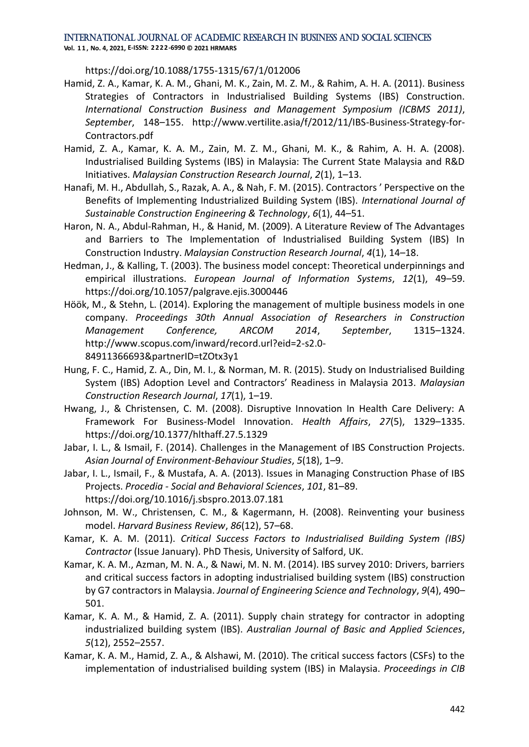**Vol. 1 1 , No. 4, 2021, E-ISSN: 2222-6990 © 2021 HRMARS**

https://doi.org/10.1088/1755-1315/67/1/012006

- Hamid, Z. A., Kamar, K. A. M., Ghani, M. K., Zain, M. Z. M., & Rahim, A. H. A. (2011). Business Strategies of Contractors in Industrialised Building Systems (IBS) Construction. *International Construction Business and Management Symposium (ICBMS 2011)*, *September*, 148–155. http://www.vertilite.asia/f/2012/11/IBS-Business-Strategy-for-Contractors.pdf
- Hamid, Z. A., Kamar, K. A. M., Zain, M. Z. M., Ghani, M. K., & Rahim, A. H. A. (2008). Industrialised Building Systems (IBS) in Malaysia: The Current State Malaysia and R&D Initiatives. *Malaysian Construction Research Journal*, *2*(1), 1–13.
- Hanafi, M. H., Abdullah, S., Razak, A. A., & Nah, F. M. (2015). Contractors ' Perspective on the Benefits of Implementing Industrialized Building System (IBS). *International Journal of Sustainable Construction Engineering & Technology*, *6*(1), 44–51.
- Haron, N. A., Abdul-Rahman, H., & Hanid, M. (2009). A Literature Review of The Advantages and Barriers to The Implementation of Industrialised Building System (IBS) In Construction Industry. *Malaysian Construction Research Journal*, *4*(1), 14–18.
- Hedman, J., & Kalling, T. (2003). The business model concept: Theoretical underpinnings and empirical illustrations. *European Journal of Information Systems*, *12*(1), 49–59. https://doi.org/10.1057/palgrave.ejis.3000446
- Höök, M., & Stehn, L. (2014). Exploring the management of multiple business models in one company. *Proceedings 30th Annual Association of Researchers in Construction Management Conference, ARCOM 2014*, *September*, 1315–1324. http://www.scopus.com/inward/record.url?eid=2-s2.0- 84911366693&partnerID=tZOtx3y1
- Hung, F. C., Hamid, Z. A., Din, M. I., & Norman, M. R. (2015). Study on Industrialised Building System (IBS) Adoption Level and Contractors' Readiness in Malaysia 2013. *Malaysian Construction Research Journal*, *17*(1), 1–19.
- Hwang, J., & Christensen, C. M. (2008). Disruptive Innovation In Health Care Delivery: A Framework For Business-Model Innovation. *Health Affairs*, *27*(5), 1329–1335. https://doi.org/10.1377/hlthaff.27.5.1329
- Jabar, I. L., & Ismail, F. (2014). Challenges in the Management of IBS Construction Projects. *Asian Journal of Environment-Behaviour Studies*, *5*(18), 1–9.
- Jabar, I. L., Ismail, F., & Mustafa, A. A. (2013). Issues in Managing Construction Phase of IBS Projects. *Procedia - Social and Behavioral Sciences*, *101*, 81–89. https://doi.org/10.1016/j.sbspro.2013.07.181
- Johnson, M. W., Christensen, C. M., & Kagermann, H. (2008). Reinventing your business model. *Harvard Business Review*, *86*(12), 57–68.
- Kamar, K. A. M. (2011). *Critical Success Factors to Industrialised Building System (IBS) Contractor* (Issue January). PhD Thesis, University of Salford, UK.
- Kamar, K. A. M., Azman, M. N. A., & Nawi, M. N. M. (2014). IBS survey 2010: Drivers, barriers and critical success factors in adopting industrialised building system (IBS) construction by G7 contractors in Malaysia. *Journal of Engineering Science and Technology*, *9*(4), 490– 501.
- Kamar, K. A. M., & Hamid, Z. A. (2011). Supply chain strategy for contractor in adopting industrialized building system (IBS). *Australian Journal of Basic and Applied Sciences*, *5*(12), 2552–2557.
- Kamar, K. A. M., Hamid, Z. A., & Alshawi, M. (2010). The critical success factors (CSFs) to the implementation of industrialised building system (IBS) in Malaysia. *Proceedings in CIB*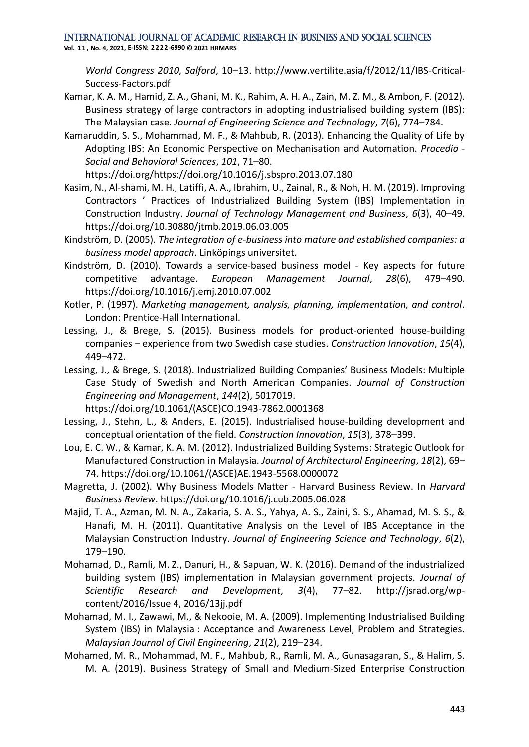**Vol. 1 1 , No. 4, 2021, E-ISSN: 2222-6990 © 2021 HRMARS**

*World Congress 2010, Salford*, 10–13. http://www.vertilite.asia/f/2012/11/IBS-Critical-Success-Factors.pdf

- Kamar, K. A. M., Hamid, Z. A., Ghani, M. K., Rahim, A. H. A., Zain, M. Z. M., & Ambon, F. (2012). Business strategy of large contractors in adopting industrialised building system (IBS): The Malaysian case. *Journal of Engineering Science and Technology*, *7*(6), 774–784.
- Kamaruddin, S. S., Mohammad, M. F., & Mahbub, R. (2013). Enhancing the Quality of Life by Adopting IBS: An Economic Perspective on Mechanisation and Automation. *Procedia - Social and Behavioral Sciences*, *101*, 71–80.

https://doi.org/https://doi.org/10.1016/j.sbspro.2013.07.180

- Kasim, N., Al-shami, M. H., Latiffi, A. A., Ibrahim, U., Zainal, R., & Noh, H. M. (2019). Improving Contractors ' Practices of Industrialized Building System (IBS) Implementation in Construction Industry. *Journal of Technology Management and Business*, *6*(3), 40–49. https://doi.org/10.30880/jtmb.2019.06.03.005
- Kindström, D. (2005). *The integration of e-business into mature and established companies: a business model approach*. Linköpings universitet.
- Kindström, D. (2010). Towards a service-based business model Key aspects for future competitive advantage. *European Management Journal*, *28*(6), 479–490. https://doi.org/10.1016/j.emj.2010.07.002
- Kotler, P. (1997). *Marketing management, analysis, planning, implementation, and control*. London: Prentice-Hall International.
- Lessing, J., & Brege, S. (2015). Business models for product-oriented house-building companies – experience from two Swedish case studies. *Construction Innovation*, *15*(4), 449–472.
- Lessing, J., & Brege, S. (2018). Industrialized Building Companies' Business Models: Multiple Case Study of Swedish and North American Companies. *Journal of Construction Engineering and Management*, *144*(2), 5017019. https://doi.org/10.1061/(ASCE)CO.1943-7862.0001368
- Lessing, J., Stehn, L., & Anders, E. (2015). Industrialised house-building development and conceptual orientation of the field. *Construction Innovation*, *15*(3), 378–399.
- Lou, E. C. W., & Kamar, K. A. M. (2012). Industrialized Building Systems: Strategic Outlook for Manufactured Construction in Malaysia. *Journal of Architectural Engineering*, *18*(2), 69– 74. https://doi.org/10.1061/(ASCE)AE.1943-5568.0000072
- Magretta, J. (2002). Why Business Models Matter Harvard Business Review. In *Harvard Business Review*. https://doi.org/10.1016/j.cub.2005.06.028
- Majid, T. A., Azman, M. N. A., Zakaria, S. A. S., Yahya, A. S., Zaini, S. S., Ahamad, M. S. S., & Hanafi, M. H. (2011). Quantitative Analysis on the Level of IBS Acceptance in the Malaysian Construction Industry. *Journal of Engineering Science and Technology*, *6*(2), 179–190.
- Mohamad, D., Ramli, M. Z., Danuri, H., & Sapuan, W. K. (2016). Demand of the industrialized building system (IBS) implementation in Malaysian government projects. *Journal of Scientific Research and Development*, *3*(4), 77–82. http://jsrad.org/wpcontent/2016/Issue 4, 2016/13jj.pdf
- Mohamad, M. I., Zawawi, M., & Nekooie, M. A. (2009). Implementing Industrialised Building System (IBS) in Malaysia : Acceptance and Awareness Level, Problem and Strategies. *Malaysian Journal of Civil Engineering*, *21*(2), 219–234.
- Mohamed, M. R., Mohammad, M. F., Mahbub, R., Ramli, M. A., Gunasagaran, S., & Halim, S. M. A. (2019). Business Strategy of Small and Medium-Sized Enterprise Construction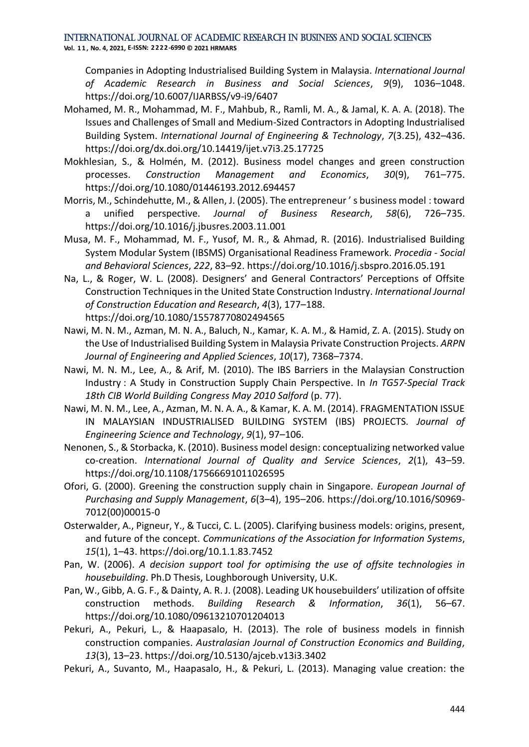**Vol. 1 1 , No. 4, 2021, E-ISSN: 2222-6990 © 2021 HRMARS**

Companies in Adopting Industrialised Building System in Malaysia. *International Journal of Academic Research in Business and Social Sciences*, *9*(9), 1036–1048. https://doi.org/10.6007/IJARBSS/v9-i9/6407

- Mohamed, M. R., Mohammad, M. F., Mahbub, R., Ramli, M. A., & Jamal, K. A. A. (2018). The Issues and Challenges of Small and Medium-Sized Contractors in Adopting Industrialised Building System. *International Journal of Engineering & Technology*, *7*(3.25), 432–436. https://doi.org/dx.doi.org/10.14419/ijet.v7i3.25.17725
- Mokhlesian, S., & Holmén, M. (2012). Business model changes and green construction processes. *Construction Management and Economics*, *30*(9), 761–775. https://doi.org/10.1080/01446193.2012.694457
- Morris, M., Schindehutte, M., & Allen, J. (2005). The entrepreneur ' s business model : toward a unified perspective. *Journal of Business Research*, *58*(6), 726–735. https://doi.org/10.1016/j.jbusres.2003.11.001
- Musa, M. F., Mohammad, M. F., Yusof, M. R., & Ahmad, R. (2016). Industrialised Building System Modular System (IBSMS) Organisational Readiness Framework. *Procedia - Social and Behavioral Sciences*, *222*, 83–92. https://doi.org/10.1016/j.sbspro.2016.05.191
- Na, L., & Roger, W. L. (2008). Designers' and General Contractors' Perceptions of Offsite Construction Techniques in the United State Construction Industry. *International Journal of Construction Education and Research*, *4*(3), 177–188. https://doi.org/10.1080/15578770802494565
- Nawi, M. N. M., Azman, M. N. A., Baluch, N., Kamar, K. A. M., & Hamid, Z. A. (2015). Study on the Use of Industrialised Building System in Malaysia Private Construction Projects. *ARPN Journal of Engineering and Applied Sciences*, *10*(17), 7368–7374.
- Nawi, M. N. M., Lee, A., & Arif, M. (2010). The IBS Barriers in the Malaysian Construction Industry : A Study in Construction Supply Chain Perspective. In *In TG57-Special Track 18th CIB World Building Congress May 2010 Salford* (p. 77).
- Nawi, M. N. M., Lee, A., Azman, M. N. A. A., & Kamar, K. A. M. (2014). FRAGMENTATION ISSUE IN MALAYSIAN INDUSTRIALISED BUILDING SYSTEM (IBS) PROJECTS. *Journal of Engineering Science and Technology*, *9*(1), 97–106.
- Nenonen, S., & Storbacka, K. (2010). Business model design: conceptualizing networked value co-creation. *International Journal of Quality and Service Sciences*, *2*(1), 43–59. https://doi.org/10.1108/17566691011026595
- Ofori, G. (2000). Greening the construction supply chain in Singapore. *European Journal of Purchasing and Supply Management*, *6*(3–4), 195–206. https://doi.org/10.1016/S0969- 7012(00)00015-0
- Osterwalder, A., Pigneur, Y., & Tucci, C. L. (2005). Clarifying business models: origins, present, and future of the concept. *Communications of the Association for Information Systems*, *15*(1), 1–43. https://doi.org/10.1.1.83.7452
- Pan, W. (2006). *A decision support tool for optimising the use of offsite technologies in housebuilding*. Ph.D Thesis, Loughborough University, U.K.
- Pan, W., Gibb, A. G. F., & Dainty, A. R. J. (2008). Leading UK housebuilders' utilization of offsite construction methods. *Building Research & Information*, *36*(1), 56–67. https://doi.org/10.1080/09613210701204013
- Pekuri, A., Pekuri, L., & Haapasalo, H. (2013). The role of business models in finnish construction companies. *Australasian Journal of Construction Economics and Building*, *13*(3), 13–23. https://doi.org/10.5130/ajceb.v13i3.3402
- Pekuri, A., Suvanto, M., Haapasalo, H., & Pekuri, L. (2013). Managing value creation: the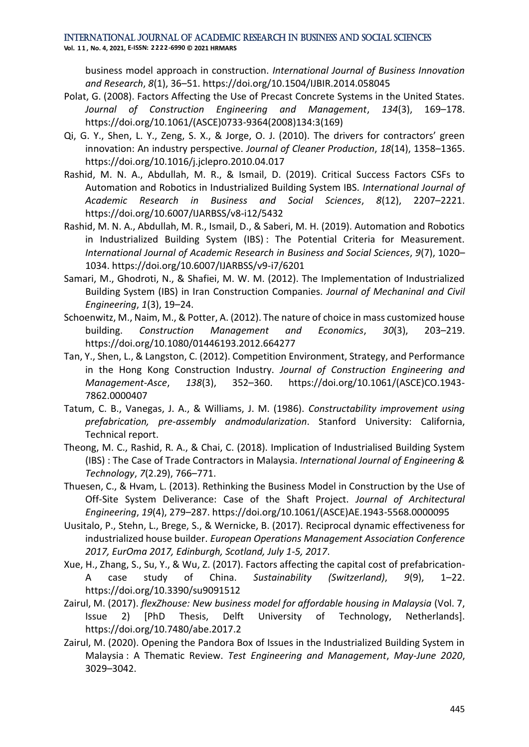**Vol. 1 1 , No. 4, 2021, E-ISSN: 2222-6990 © 2021 HRMARS**

business model approach in construction. *International Journal of Business Innovation and Research*, *8*(1), 36–51. https://doi.org/10.1504/IJBIR.2014.058045

- Polat, G. (2008). Factors Affecting the Use of Precast Concrete Systems in the United States. *Journal of Construction Engineering and Management*, *134*(3), 169–178. https://doi.org/10.1061/(ASCE)0733-9364(2008)134:3(169)
- Qi, G. Y., Shen, L. Y., Zeng, S. X., & Jorge, O. J. (2010). The drivers for contractors' green innovation: An industry perspective. *Journal of Cleaner Production*, *18*(14), 1358–1365. https://doi.org/10.1016/j.jclepro.2010.04.017
- Rashid, M. N. A., Abdullah, M. R., & Ismail, D. (2019). Critical Success Factors CSFs to Automation and Robotics in Industrialized Building System IBS. *International Journal of Academic Research in Business and Social Sciences*, *8*(12), 2207–2221. https://doi.org/10.6007/IJARBSS/v8-i12/5432
- Rashid, M. N. A., Abdullah, M. R., Ismail, D., & Saberi, M. H. (2019). Automation and Robotics in Industrialized Building System (IBS) : The Potential Criteria for Measurement. *International Journal of Academic Research in Business and Social Sciences*, *9*(7), 1020– 1034. https://doi.org/10.6007/IJARBSS/v9-i7/6201
- Samari, M., Ghodroti, N., & Shafiei, M. W. M. (2012). The Implementation of Industrialized Building System (IBS) in Iran Construction Companies. *Journal of Mechaninal and Civil Engineering*, *1*(3), 19–24.
- Schoenwitz, M., Naim, M., & Potter, A. (2012). The nature of choice in mass customized house building. *Construction Management and Economics*, *30*(3), 203–219. https://doi.org/10.1080/01446193.2012.664277
- Tan, Y., Shen, L., & Langston, C. (2012). Competition Environment, Strategy, and Performance in the Hong Kong Construction Industry. *Journal of Construction Engineering and Management-Asce*, *138*(3), 352–360. https://doi.org/10.1061/(ASCE)CO.1943- 7862.0000407
- Tatum, C. B., Vanegas, J. A., & Williams, J. M. (1986). *Constructability improvement using prefabrication, pre-assembly andmodularization*. Stanford University: California, Technical report.
- Theong, M. C., Rashid, R. A., & Chai, C. (2018). Implication of Industrialised Building System (IBS) : The Case of Trade Contractors in Malaysia. *International Journal of Engineering & Technology*, *7*(2.29), 766–771.
- Thuesen, C., & Hvam, L. (2013). Rethinking the Business Model in Construction by the Use of Off-Site System Deliverance: Case of the Shaft Project. *Journal of Architectural Engineering*, *19*(4), 279–287. https://doi.org/10.1061/(ASCE)AE.1943-5568.0000095
- Uusitalo, P., Stehn, L., Brege, S., & Wernicke, B. (2017). Reciprocal dynamic effectiveness for industrialized house builder. *European Operations Management Association Conference 2017, EurOma 2017, Edinburgh, Scotland, July 1-5, 2017*.
- Xue, H., Zhang, S., Su, Y., & Wu, Z. (2017). Factors affecting the capital cost of prefabrication-A case study of China. *Sustainability (Switzerland)*, *9*(9), 1–22. https://doi.org/10.3390/su9091512
- Zairul, M. (2017). *flexZhouse: New business model for affordable housing in Malaysia* (Vol. 7, Issue 2) [PhD Thesis, Delft University of Technology, Netherlands]. https://doi.org/10.7480/abe.2017.2
- Zairul, M. (2020). Opening the Pandora Box of Issues in the Industrialized Building System in Malaysia : A Thematic Review. *Test Engineering and Management*, *May*-*June 2020*, 3029–3042.